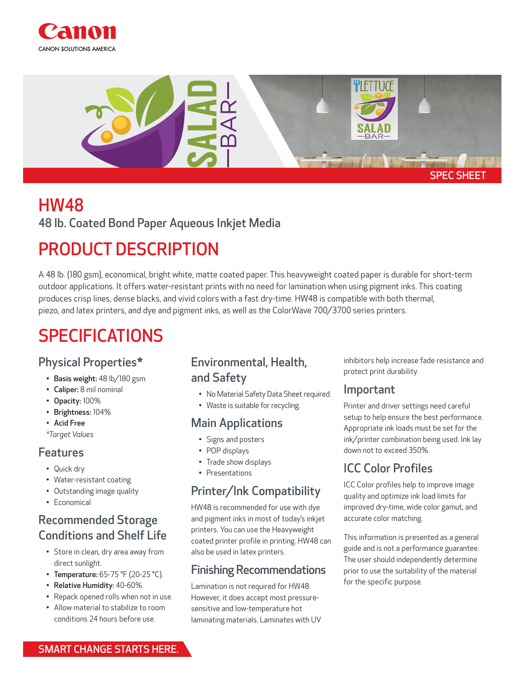



# HW48

48 lb. Coated Bond Paper Aqueous Inkjet Media

### PRODUCT DESCRIPTION

A 48 lb. (180 gsm), economical, bright white, matte coated paper. This heavyweight coated paper is durable for short-term outdoor applications. It offers water-resistant prints with no need for lamination when using pigment inks. This coating produces crisp lines, dense blacks, and vivid colors with a fast dry-time. HW48 is compatible with both thermal, piezo, and latex printers, and dye and pigment inks, as well as the ColorWave 700/3700 series printers.

## SPECIFICATIONS

#### Physical Properties\*

- Basis weight: 48 lb/180 gsm
- Caliper: 8 mil nominal
- Opacity: 100%
- Brightness: 104%
- Acid Free
- *\*Target Values*

#### Features

- Quick dry
- Water-resistant coating
- Outstanding image quality
- Economical

#### Recommended Storage Conditions and Shelf Life

- Store in clean, dry area away from direct sunlight.
- Temperature: 65-75 °F (20-25 °C).
- Relative Humidity: 40-60%.
- Repack opened rolls when not in use.
- Allow material to stabilize to room conditions 24 hours before use.

#### Environmental, Health, and Safety

- No Material Safety Data Sheet required.
- Waste is suitable for recycling.

#### Main Applications

- Signs and posters
- POP displays
- Trade show displays
- Presentations

#### Printer/Ink Compatibility

HW48 is recommended for use with dye and pigment inks in most of today's inkjet printers. You can use the Heavyweight coated printer profile in printing. HW48 can also be used in latex printers.

#### Finishing Recommendations

Lamination is not required for HW48. However, it does accept most pressuresensitive and low-temperature hot laminating materials. Laminates with UV inhibitors help increase fade resistance and protect print durability.

#### Important

Printer and driver settings need careful setup to help ensure the best performance. Appropriate ink loads must be set for the ink/printer combination being used. Ink lay down not to exceed 350%.

#### ICC Color Profiles

ICC Color profiles help to improve image quality and optimize ink load limits for improved dry-time, wide color gamut, and accurate color matching.

This information is presented as a general guide and is not a performance guarantee. The user should independently determine prior to use the suitability of the material for the specific purpose.